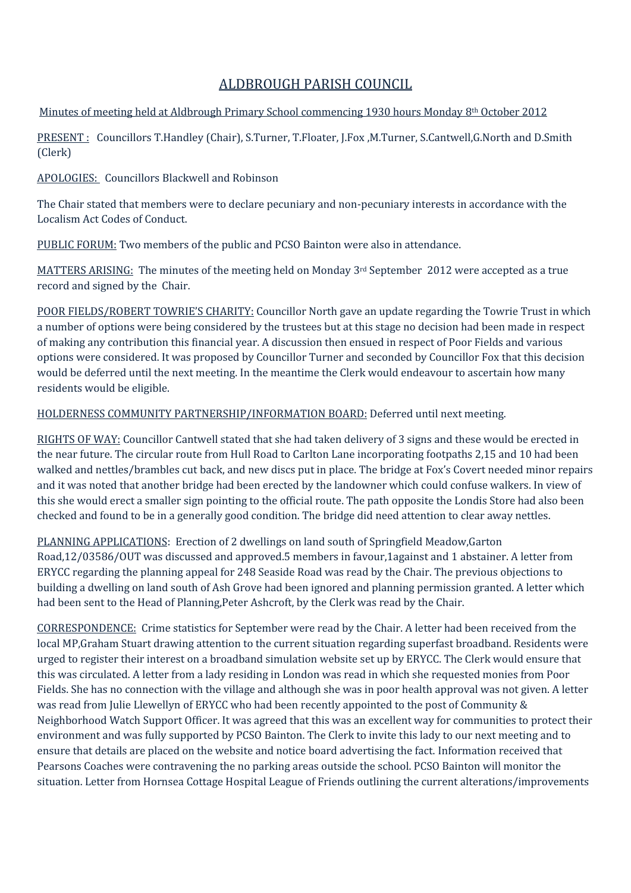## ALDBROUGH PARISH COUNCIL

## Minutes of meeting held at Aldbrough Primary School commencing 1930 hours Monday 8th October 2012

PRESENT : Councillors T.Handley (Chair), S.Turner, T.Floater, J.Fox ,M.Turner, S.Cantwell,G.North and D.Smith (Clerk)

APOLOGIES: Councillors Blackwell and Robinson

The Chair stated that members were to declare pecuniary and non-pecuniary interests in accordance with the Localism Act Codes of Conduct.

PUBLIC FORUM: Two members of the public and PCSO Bainton were also in attendance.

MATTERS ARISING: The minutes of the meeting held on Monday 3<sup>rd</sup> September 2012 were accepted as a true record and signed by the Chair.

POOR FIELDS/ROBERT TOWRIE'S CHARITY: Councillor North gave an update regarding the Towrie Trust in which a number of options were being considered by the trustees but at this stage no decision had been made in respect of making any contribution this financial year. A discussion then ensued in respect of Poor Fields and various options were considered. It was proposed by Councillor Turner and seconded by Councillor Fox that this decision would be deferred until the next meeting. In the meantime the Clerk would endeavour to ascertain how many residents would be eligible.

## HOLDERNESS COMMUNITY PARTNERSHIP/INFORMATION BOARD: Deferred until next meeting.

RIGHTS OF WAY: Councillor Cantwell stated that she had taken delivery of 3 signs and these would be erected in the near future. The circular route from Hull Road to Carlton Lane incorporating footpaths 2,15 and 10 had been walked and nettles/brambles cut back, and new discs put in place. The bridge at Fox's Covert needed minor repairs and it was noted that another bridge had been erected by the landowner which could confuse walkers. In view of this she would erect a smaller sign pointing to the official route. The path opposite the Londis Store had also been checked and found to be in a generally good condition. The bridge did need attention to clear away nettles.

PLANNING APPLICATIONS: Erection of 2 dwellings on land south of Springfield Meadow,Garton Road,12/03586/OUT was discussed and approved.5 members in favour,1against and 1 abstainer. A letter from ERYCC regarding the planning appeal for 248 Seaside Road was read by the Chair. The previous objections to building a dwelling on land south of Ash Grove had been ignored and planning permission granted. A letter which had been sent to the Head of Planning,Peter Ashcroft, by the Clerk was read by the Chair.

CORRESPONDENCE: Crime statistics for September were read by the Chair. A letter had been received from the local MP,Graham Stuart drawing attention to the current situation regarding superfast broadband. Residents were urged to register their interest on a broadband simulation website set up by ERYCC. The Clerk would ensure that this was circulated. A letter from a lady residing in London was read in which she requested monies from Poor Fields. She has no connection with the village and although she was in poor health approval was not given. A letter was read from Julie Llewellyn of ERYCC who had been recently appointed to the post of Community & Neighborhood Watch Support Officer. It was agreed that this was an excellent way for communities to protect their environment and was fully supported by PCSO Bainton. The Clerk to invite this lady to our next meeting and to ensure that details are placed on the website and notice board advertising the fact. Information received that Pearsons Coaches were contravening the no parking areas outside the school. PCSO Bainton will monitor the situation. Letter from Hornsea Cottage Hospital League of Friends outlining the current alterations/improvements